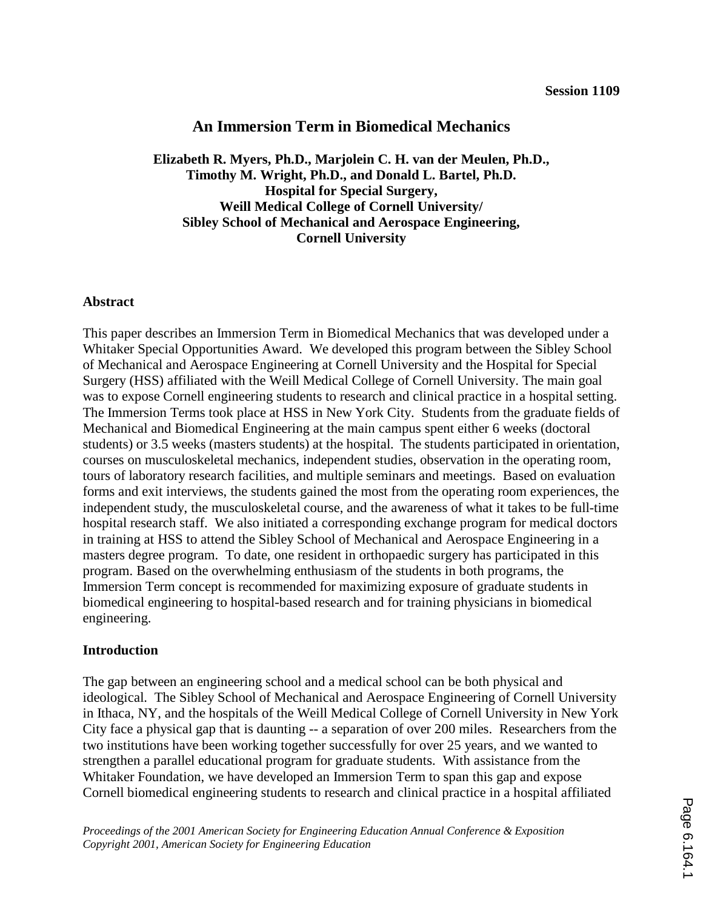# **An Immersion Term in Biomedical Mechanics**

**Elizabeth R. Myers, Ph.D., Marjolein C. H. van der Meulen, Ph.D., Timothy M. Wright, Ph.D., and Donald L. Bartel, Ph.D. Hospital for Special Surgery, Weill Medical College of Cornell University/ Sibley School of Mechanical and Aerospace Engineering, Cornell University** 

#### **Abstract**

This paper describes an Immersion Term in Biomedical Mechanics that was developed under a Whitaker Special Opportunities Award. We developed this program between the Sibley School of Mechanical and Aerospace Engineering at Cornell University and the Hospital for Special Surgery (HSS) affiliated with the Weill Medical College of Cornell University. The main goal was to expose Cornell engineering students to research and clinical practice in a hospital setting. The Immersion Terms took place at HSS in New York City. Students from the graduate fields of Mechanical and Biomedical Engineering at the main campus spent either 6 weeks (doctoral students) or 3.5 weeks (masters students) at the hospital. The students participated in orientation, courses on musculoskeletal mechanics, independent studies, observation in the operating room, tours of laboratory research facilities, and multiple seminars and meetings. Based on evaluation forms and exit interviews, the students gained the most from the operating room experiences, the independent study, the musculoskeletal course, and the awareness of what it takes to be full-time hospital research staff. We also initiated a corresponding exchange program for medical doctors in training at HSS to attend the Sibley School of Mechanical and Aerospace Engineering in a masters degree program. To date, one resident in orthopaedic surgery has participated in this program. Based on the overwhelming enthusiasm of the students in both programs, the Immersion Term concept is recommended for maximizing exposure of graduate students in biomedical engineering to hospital-based research and for training physicians in biomedical engineering.

### **Introduction**

The gap between an engineering school and a medical school can be both physical and ideological. The Sibley School of Mechanical and Aerospace Engineering of Cornell University in Ithaca, NY, and the hospitals of the Weill Medical College of Cornell University in New York City face a physical gap that is daunting -- a separation of over 200 miles. Researchers from the two institutions have been working together successfully for over 25 years, and we wanted to strengthen a parallel educational program for graduate students. With assistance from the Whitaker Foundation, we have developed an Immersion Term to span this gap and expose Cornell biomedical engineering students to research and clinical practice in a hospital affiliated

*Proceedings of the 2001 American Society for Engineering Education Annual Conference & Exposition Copyright 2001, American Society for Engineering Education*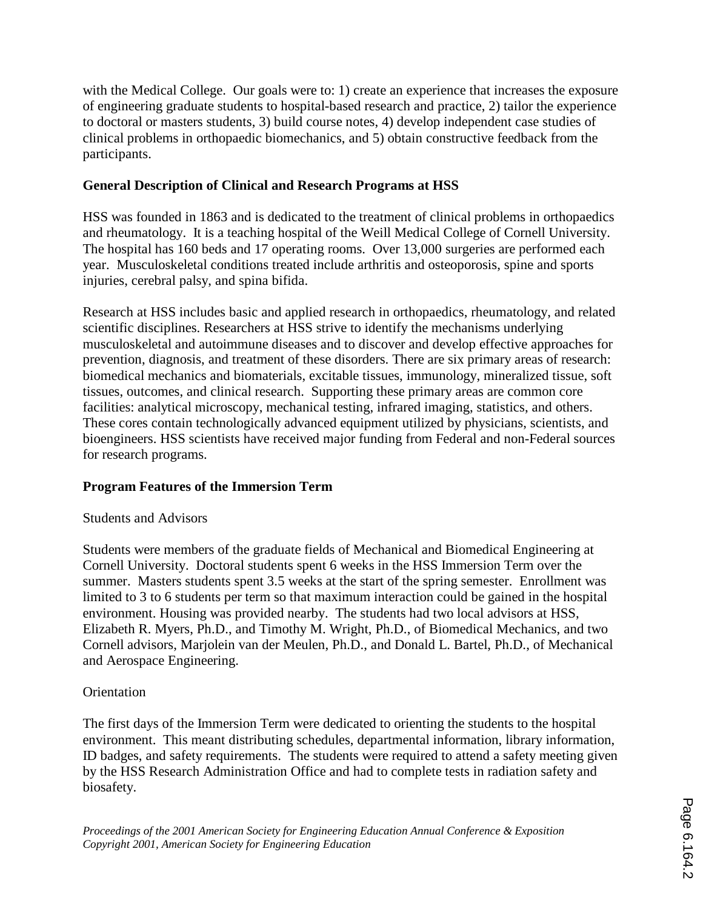with the Medical College. Our goals were to: 1) create an experience that increases the exposure of engineering graduate students to hospital-based research and practice, 2) tailor the experience to doctoral or masters students, 3) build course notes, 4) develop independent case studies of clinical problems in orthopaedic biomechanics, and 5) obtain constructive feedback from the participants.

# **General Description of Clinical and Research Programs at HSS**

HSS was founded in 1863 and is dedicated to the treatment of clinical problems in orthopaedics and rheumatology. It is a teaching hospital of the Weill Medical College of Cornell University. The hospital has 160 beds and 17 operating rooms. Over 13,000 surgeries are performed each year. Musculoskeletal conditions treated include arthritis and osteoporosis, spine and sports injuries, cerebral palsy, and spina bifida.

Research at HSS includes basic and applied research in orthopaedics, rheumatology, and related scientific disciplines. Researchers at HSS strive to identify the mechanisms underlying musculoskeletal and autoimmune diseases and to discover and develop effective approaches for prevention, diagnosis, and treatment of these disorders. There are six primary areas of research: biomedical mechanics and biomaterials, excitable tissues, immunology, mineralized tissue, soft tissues, outcomes, and clinical research. Supporting these primary areas are common core facilities: analytical microscopy, mechanical testing, infrared imaging, statistics, and others. These cores contain technologically advanced equipment utilized by physicians, scientists, and bioengineers. HSS scientists have received major funding from Federal and non-Federal sources for research programs.

# **Program Features of the Immersion Term**

# Students and Advisors

Students were members of the graduate fields of Mechanical and Biomedical Engineering at Cornell University. Doctoral students spent 6 weeks in the HSS Immersion Term over the summer. Masters students spent 3.5 weeks at the start of the spring semester. Enrollment was limited to 3 to 6 students per term so that maximum interaction could be gained in the hospital environment. Housing was provided nearby. The students had two local advisors at HSS, Elizabeth R. Myers, Ph.D., and Timothy M. Wright, Ph.D., of Biomedical Mechanics, and two Cornell advisors, Marjolein van der Meulen, Ph.D., and Donald L. Bartel, Ph.D., of Mechanical and Aerospace Engineering.

# **Orientation**

The first days of the Immersion Term were dedicated to orienting the students to the hospital environment. This meant distributing schedules, departmental information, library information, ID badges, and safety requirements. The students were required to attend a safety meeting given by the HSS Research Administration Office and had to complete tests in radiation safety and biosafety.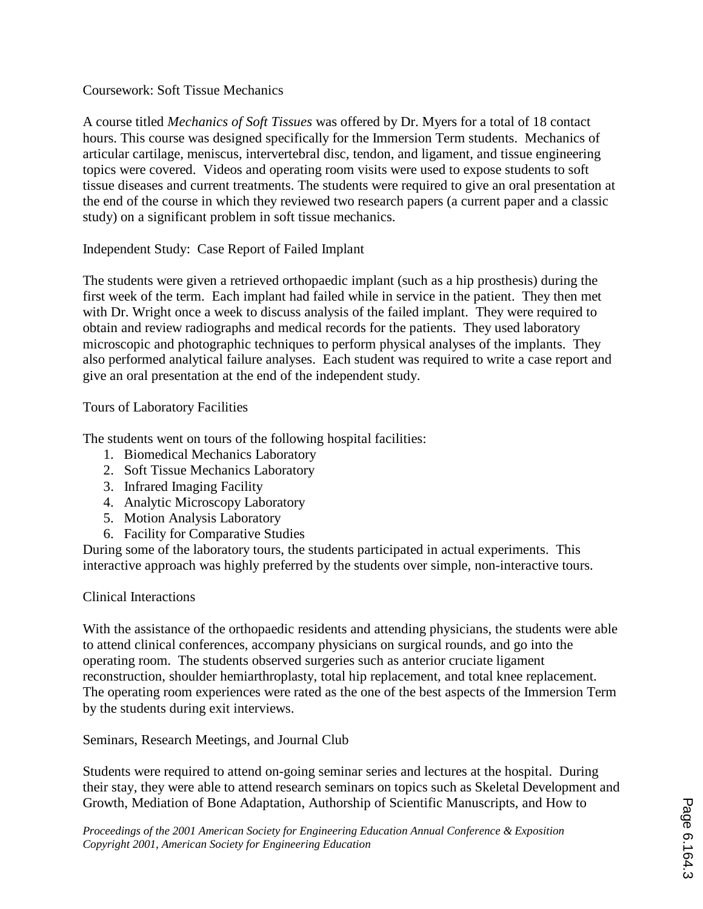## Coursework: Soft Tissue Mechanics

A course titled *Mechanics of Soft Tissues* was offered by Dr. Myers for a total of 18 contact hours. This course was designed specifically for the Immersion Term students. Mechanics of articular cartilage, meniscus, intervertebral disc, tendon, and ligament, and tissue engineering topics were covered. Videos and operating room visits were used to expose students to soft tissue diseases and current treatments. The students were required to give an oral presentation at the end of the course in which they reviewed two research papers (a current paper and a classic study) on a significant problem in soft tissue mechanics.

Independent Study: Case Report of Failed Implant

The students were given a retrieved orthopaedic implant (such as a hip prosthesis) during the first week of the term. Each implant had failed while in service in the patient. They then met with Dr. Wright once a week to discuss analysis of the failed implant. They were required to obtain and review radiographs and medical records for the patients. They used laboratory microscopic and photographic techniques to perform physical analyses of the implants. They also performed analytical failure analyses. Each student was required to write a case report and give an oral presentation at the end of the independent study.

## Tours of Laboratory Facilities

The students went on tours of the following hospital facilities:

- 1. Biomedical Mechanics Laboratory
- 2. Soft Tissue Mechanics Laboratory
- 3. Infrared Imaging Facility
- 4. Analytic Microscopy Laboratory
- 5. Motion Analysis Laboratory
- 6. Facility for Comparative Studies

During some of the laboratory tours, the students participated in actual experiments. This interactive approach was highly preferred by the students over simple, non-interactive tours.

### Clinical Interactions

With the assistance of the orthopaedic residents and attending physicians, the students were able to attend clinical conferences, accompany physicians on surgical rounds, and go into the operating room. The students observed surgeries such as anterior cruciate ligament reconstruction, shoulder hemiarthroplasty, total hip replacement, and total knee replacement. The operating room experiences were rated as the one of the best aspects of the Immersion Term by the students during exit interviews.

Seminars, Research Meetings, and Journal Club

Students were required to attend on-going seminar series and lectures at the hospital. During their stay, they were able to attend research seminars on topics such as Skeletal Development and Growth, Mediation of Bone Adaptation, Authorship of Scientific Manuscripts, and How to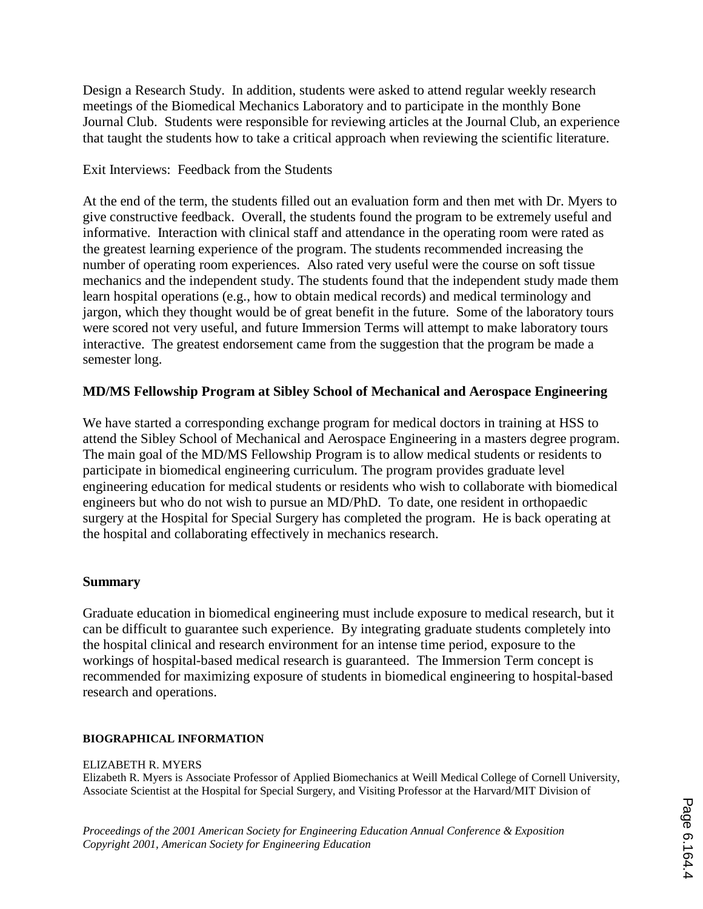Design a Research Study. In addition, students were asked to attend regular weekly research meetings of the Biomedical Mechanics Laboratory and to participate in the monthly Bone Journal Club. Students were responsible for reviewing articles at the Journal Club, an experience that taught the students how to take a critical approach when reviewing the scientific literature.

## Exit Interviews: Feedback from the Students

At the end of the term, the students filled out an evaluation form and then met with Dr. Myers to give constructive feedback. Overall, the students found the program to be extremely useful and informative. Interaction with clinical staff and attendance in the operating room were rated as the greatest learning experience of the program. The students recommended increasing the number of operating room experiences. Also rated very useful were the course on soft tissue mechanics and the independent study. The students found that the independent study made them learn hospital operations (e.g., how to obtain medical records) and medical terminology and jargon, which they thought would be of great benefit in the future. Some of the laboratory tours were scored not very useful, and future Immersion Terms will attempt to make laboratory tours interactive. The greatest endorsement came from the suggestion that the program be made a semester long.

# **MD/MS Fellowship Program at Sibley School of Mechanical and Aerospace Engineering**

We have started a corresponding exchange program for medical doctors in training at HSS to attend the Sibley School of Mechanical and Aerospace Engineering in a masters degree program. The main goal of the MD/MS Fellowship Program is to allow medical students or residents to participate in biomedical engineering curriculum. The program provides graduate level engineering education for medical students or residents who wish to collaborate with biomedical engineers but who do not wish to pursue an MD/PhD. To date, one resident in orthopaedic surgery at the Hospital for Special Surgery has completed the program. He is back operating at the hospital and collaborating effectively in mechanics research.

### **Summary**

Graduate education in biomedical engineering must include exposure to medical research, but it can be difficult to guarantee such experience. By integrating graduate students completely into the hospital clinical and research environment for an intense time period, exposure to the workings of hospital-based medical research is guaranteed. The Immersion Term concept is recommended for maximizing exposure of students in biomedical engineering to hospital-based research and operations.

### **BIOGRAPHICAL INFORMATION**

#### ELIZABETH R. MYERS

Elizabeth R. Myers is Associate Professor of Applied Biomechanics at Weill Medical College of Cornell University, Associate Scientist at the Hospital for Special Surgery, and Visiting Professor at the Harvard/MIT Division of

*Proceedings of the 2001 American Society for Engineering Education Annual Conference & Exposition Copyright 2001, American Society for Engineering Education*